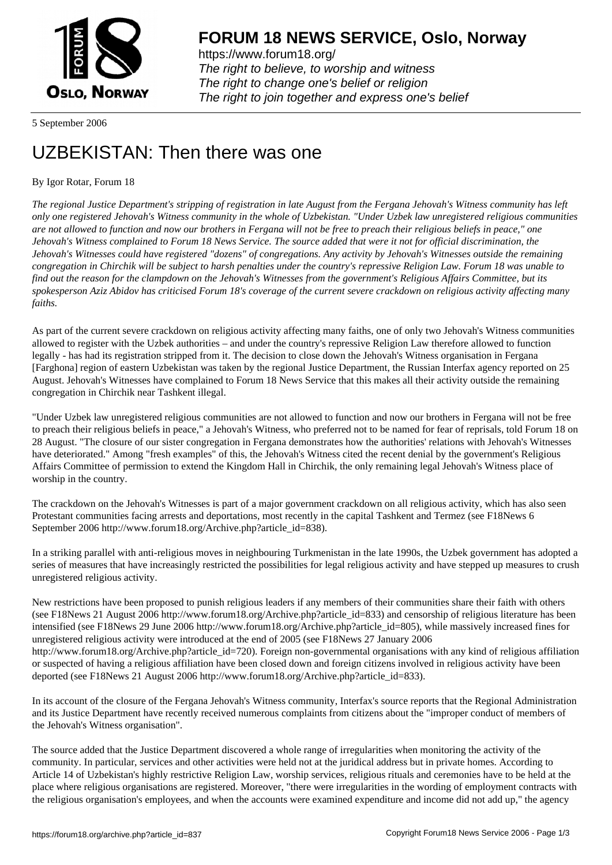

https://www.forum18.org/ The right to believe, to worship and witness The right to change one's belief or religion [The right to join together a](https://www.forum18.org/)nd express one's belief

5 September 2006

## [UZBEKISTAN:](https://www.forum18.org) Then there was one

## By Igor Rotar, Forum 18

*The regional Justice Department's stripping of registration in late August from the Fergana Jehovah's Witness community has left only one registered Jehovah's Witness community in the whole of Uzbekistan. "Under Uzbek law unregistered religious communities are not allowed to function and now our brothers in Fergana will not be free to preach their religious beliefs in peace," one Jehovah's Witness complained to Forum 18 News Service. The source added that were it not for official discrimination, the Jehovah's Witnesses could have registered "dozens" of congregations. Any activity by Jehovah's Witnesses outside the remaining congregation in Chirchik will be subject to harsh penalties under the country's repressive Religion Law. Forum 18 was unable to find out the reason for the clampdown on the Jehovah's Witnesses from the government's Religious Affairs Committee, but its spokesperson Aziz Abidov has criticised Forum 18's coverage of the current severe crackdown on religious activity affecting many faiths.*

As part of the current severe crackdown on religious activity affecting many faiths, one of only two Jehovah's Witness communities allowed to register with the Uzbek authorities – and under the country's repressive Religion Law therefore allowed to function legally - has had its registration stripped from it. The decision to close down the Jehovah's Witness organisation in Fergana [Farghona] region of eastern Uzbekistan was taken by the regional Justice Department, the Russian Interfax agency reported on 25 August. Jehovah's Witnesses have complained to Forum 18 News Service that this makes all their activity outside the remaining congregation in Chirchik near Tashkent illegal.

"Under Uzbek law unregistered religious communities are not allowed to function and now our brothers in Fergana will not be free to preach their religious beliefs in peace," a Jehovah's Witness, who preferred not to be named for fear of reprisals, told Forum 18 on 28 August. "The closure of our sister congregation in Fergana demonstrates how the authorities' relations with Jehovah's Witnesses have deteriorated." Among "fresh examples" of this, the Jehovah's Witness cited the recent denial by the government's Religious Affairs Committee of permission to extend the Kingdom Hall in Chirchik, the only remaining legal Jehovah's Witness place of worship in the country.

The crackdown on the Jehovah's Witnesses is part of a major government crackdown on all religious activity, which has also seen Protestant communities facing arrests and deportations, most recently in the capital Tashkent and Termez (see F18News 6 September 2006 http://www.forum18.org/Archive.php?article\_id=838).

In a striking parallel with anti-religious moves in neighbouring Turkmenistan in the late 1990s, the Uzbek government has adopted a series of measures that have increasingly restricted the possibilities for legal religious activity and have stepped up measures to crush unregistered religious activity.

New restrictions have been proposed to punish religious leaders if any members of their communities share their faith with others (see F18News 21 August 2006 http://www.forum18.org/Archive.php?article\_id=833) and censorship of religious literature has been intensified (see F18News 29 June 2006 http://www.forum18.org/Archive.php?article\_id=805), while massively increased fines for unregistered religious activity were introduced at the end of 2005 (see F18News 27 January 2006 http://www.forum18.org/Archive.php?article\_id=720). Foreign non-governmental organisations with any kind of religious affiliation or suspected of having a religious affiliation have been closed down and foreign citizens involved in religious activity have been deported (see F18News 21 August 2006 http://www.forum18.org/Archive.php?article\_id=833).

In its account of the closure of the Fergana Jehovah's Witness community, Interfax's source reports that the Regional Administration and its Justice Department have recently received numerous complaints from citizens about the "improper conduct of members of the Jehovah's Witness organisation".

The source added that the Justice Department discovered a whole range of irregularities when monitoring the activity of the community. In particular, services and other activities were held not at the juridical address but in private homes. According to Article 14 of Uzbekistan's highly restrictive Religion Law, worship services, religious rituals and ceremonies have to be held at the place where religious organisations are registered. Moreover, "there were irregularities in the wording of employment contracts with the religious organisation's employees, and when the accounts were examined expenditure and income did not add up," the agency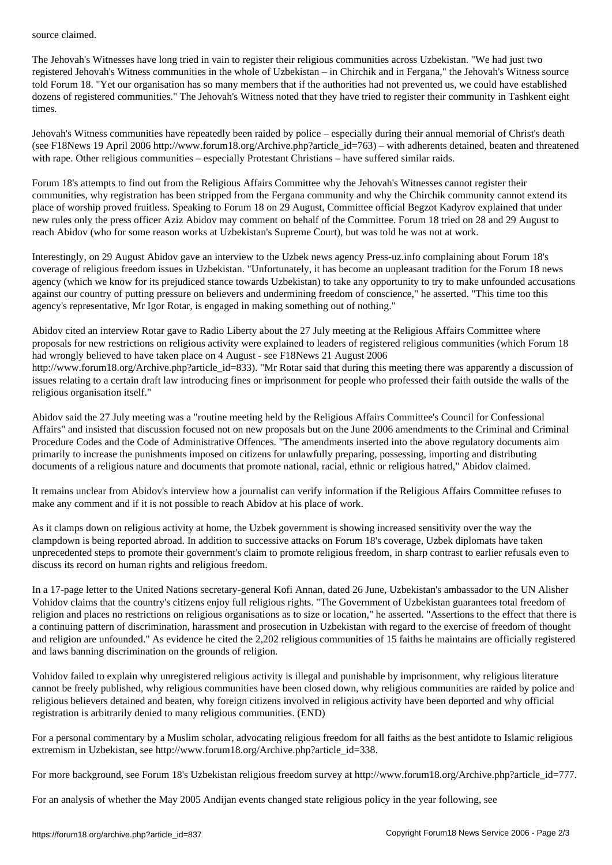The Jehovah's Witnesses have long tried in vain to register their religious communities across Uzbekistan. "We had just two registered Jehovah's Witness communities in the whole of Uzbekistan – in Chirchik and in Fergana," the Jehovah's Witness source told Forum 18. "Yet our organisation has so many members that if the authorities had not prevented us, we could have established dozens of registered communities." The Jehovah's Witness noted that they have tried to register their community in Tashkent eight times.

Jehovah's Witness communities have repeatedly been raided by police – especially during their annual memorial of Christ's death (see F18News 19 April 2006 http://www.forum18.org/Archive.php?article\_id=763) – with adherents detained, beaten and threatened with rape. Other religious communities – especially Protestant Christians – have suffered similar raids.

Forum 18's attempts to find out from the Religious Affairs Committee why the Jehovah's Witnesses cannot register their communities, why registration has been stripped from the Fergana community and why the Chirchik community cannot extend its place of worship proved fruitless. Speaking to Forum 18 on 29 August, Committee official Begzot Kadyrov explained that under new rules only the press officer Aziz Abidov may comment on behalf of the Committee. Forum 18 tried on 28 and 29 August to reach Abidov (who for some reason works at Uzbekistan's Supreme Court), but was told he was not at work.

Interestingly, on 29 August Abidov gave an interview to the Uzbek news agency Press-uz.info complaining about Forum 18's coverage of religious freedom issues in Uzbekistan. "Unfortunately, it has become an unpleasant tradition for the Forum 18 news agency (which we know for its prejudiced stance towards Uzbekistan) to take any opportunity to try to make unfounded accusations against our country of putting pressure on believers and undermining freedom of conscience," he asserted. "This time too this agency's representative, Mr Igor Rotar, is engaged in making something out of nothing."

Abidov cited an interview Rotar gave to Radio Liberty about the 27 July meeting at the Religious Affairs Committee where proposals for new restrictions on religious activity were explained to leaders of registered religious communities (which Forum 18 had wrongly believed to have taken place on 4 August - see F18News 21 August 2006 http://www.forum18.org/Archive.php?article\_id=833). "Mr Rotar said that during this meeting there was apparently a discussion of issues relating to a certain draft law introducing fines or imprisonment for people who professed their faith outside the walls of the religious organisation itself."

Abidov said the 27 July meeting was a "routine meeting held by the Religious Affairs Committee's Council for Confessional Affairs" and insisted that discussion focused not on new proposals but on the June 2006 amendments to the Criminal and Criminal Procedure Codes and the Code of Administrative Offences. "The amendments inserted into the above regulatory documents aim primarily to increase the punishments imposed on citizens for unlawfully preparing, possessing, importing and distributing documents of a religious nature and documents that promote national, racial, ethnic or religious hatred," Abidov claimed.

It remains unclear from Abidov's interview how a journalist can verify information if the Religious Affairs Committee refuses to make any comment and if it is not possible to reach Abidov at his place of work.

As it clamps down on religious activity at home, the Uzbek government is showing increased sensitivity over the way the clampdown is being reported abroad. In addition to successive attacks on Forum 18's coverage, Uzbek diplomats have taken unprecedented steps to promote their government's claim to promote religious freedom, in sharp contrast to earlier refusals even to discuss its record on human rights and religious freedom.

In a 17-page letter to the United Nations secretary-general Kofi Annan, dated 26 June, Uzbekistan's ambassador to the UN Alisher Vohidov claims that the country's citizens enjoy full religious rights. "The Government of Uzbekistan guarantees total freedom of religion and places no restrictions on religious organisations as to size or location," he asserted. "Assertions to the effect that there is a continuing pattern of discrimination, harassment and prosecution in Uzbekistan with regard to the exercise of freedom of thought and religion are unfounded." As evidence he cited the 2,202 religious communities of 15 faiths he maintains are officially registered and laws banning discrimination on the grounds of religion.

Vohidov failed to explain why unregistered religious activity is illegal and punishable by imprisonment, why religious literature cannot be freely published, why religious communities have been closed down, why religious communities are raided by police and religious believers detained and beaten, why foreign citizens involved in religious activity have been deported and why official registration is arbitrarily denied to many religious communities. (END)

For a personal commentary by a Muslim scholar, advocating religious freedom for all faiths as the best antidote to Islamic religious extremism in Uzbekistan, see http://www.forum18.org/Archive.php?article\_id=338.

For more background, see Forum 18's Uzbekistan religious freedom survey at http://www.forum18.org/Archive.php?article\_id=777.

For an analysis of whether the May 2005 Andijan events changed state religious policy in the year following, see